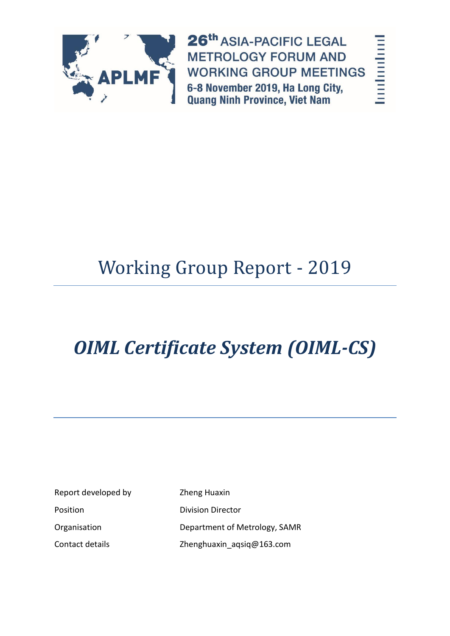

26th ASIA-PACIFIC LEGAL **METROLOGY FORUM AND WORKING GROUP MEETINGS** 6-8 November 2019, Ha Long City, **Quang Ninh Province, Viet Nam** 

landandard

# Working Group Report - 2019

# *OIML Certificate System (OIML-CS)*

Report developed by Zheng Huaxin Position **Division Director** 

Organisation Department of Metrology, SAMR Contact details **Zhenghuaxin** aqsiq@163.com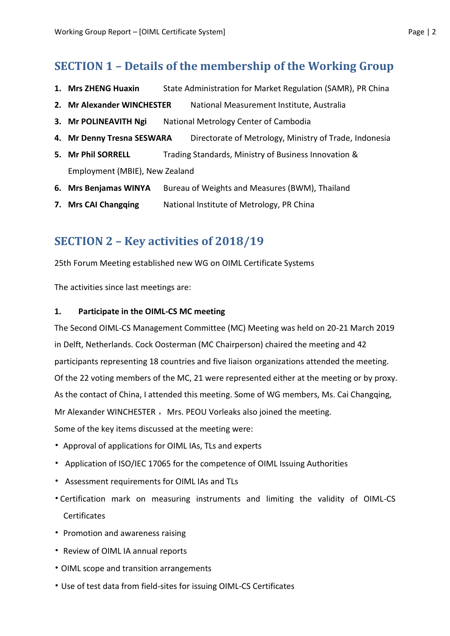## **SECTION 1 – Details of the membership of the Working Group**

- **1. Mrs ZHENG Huaxin** State Administration for Market Regulation (SAMR), PR China
- **2. Mr Alexander WINCHESTER** National Measurement Institute, Australia
- **3. Mr POLINEAVITH Ngi** National Metrology Center of Cambodia
- **4. Mr Denny Tresna SESWARA** Directorate of Metrology, Ministry of Trade, Indonesia
- **5. Mr Phil SORRELL** Trading Standards, Ministry of Business Innovation & Employment (MBIE), New Zealand
- **6. Mrs Benjamas WINYA** Bureau of Weights and Measures (BWM), Thailand
- **7. Mrs CAI Changqing** National Institute of Metrology, PR China

## **SECTION 2 – Key activities of 2018/19**

25th Forum Meeting established new WG on OIML Certificate Systems

The activities since last meetings are:

#### **1. Participate in the OIML-CS MC meeting**

The Second OIML-CS Management Committee (MC) Meeting was held on 20-21 March 2019 in Delft, Netherlands. Cock Oosterman (MC Chairperson) chaired the meeting and 42 participants representing 18 countries and five liaison organizations attended the meeting. Of the 22 voting members of the MC, 21 were represented either at the meeting or by proxy. As the contact of China, I attended this meeting. Some of WG members, Ms. Cai Changqing, Mr Alexander WINCHESTER , Mrs. PEOU Vorleaks also joined the meeting. Some of the key items discussed at the meeting were:

- Approval of applications for OIML IAs, TLs and experts
- Application of ISO/IEC 17065 for the competence of OIML Issuing Authorities
- Assessment requirements for OIML IAs and TLs
- Certification mark on measuring instruments and limiting the validity of OIML-CS **Certificates**
- Promotion and awareness raising
- Review of OIML IA annual reports
- OIML scope and transition arrangements
- Use of test data from field-sites for issuing OIML-CS Certificates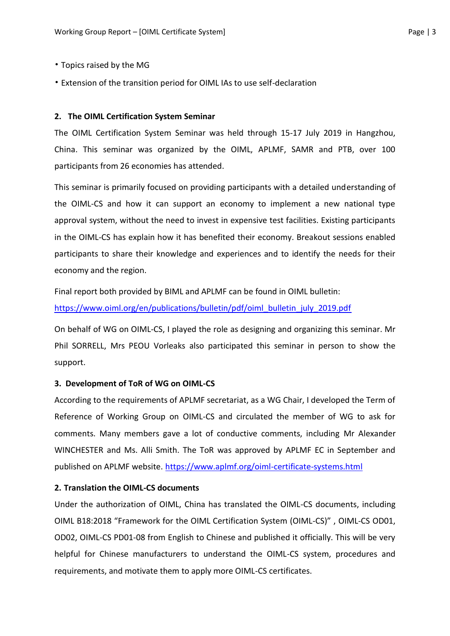- Topics raised by the MG
- Extension of the transition period for OIML IAs to use self-declaration

#### **2. The OIML Certification System Seminar**

The OIML Certification System Seminar was held through 15-17 July 2019 in Hangzhou, China. This seminar was organized by the OIML, APLMF, SAMR and PTB, over 100 participants from 26 economies has attended.

This seminar is primarily focused on providing participants with a detailed understanding of the OIML-CS and how it can support an economy to implement a new national type approval system, without the need to invest in expensive test facilities. Existing participants in the OIML-CS has explain how it has benefited their economy. Breakout sessions enabled participants to share their knowledge and experiences and to identify the needs for their economy and the region.

Final report both provided by BIML and APLMF can be found in OIML bulletin: [https://www.oiml.org/en/publications/bulletin/pdf/oiml\\_bulletin\\_july\\_2019.pdf](https://www.oiml.org/en/publications/bulletin/pdf/oiml_bulletin_july_2019.pdf)

On behalf of WG on OIML-CS, I played the role as designing and organizing this seminar. Mr Phil SORRELL, Mrs PEOU Vorleaks also participated this seminar in person to show the support.

#### **3. Development of ToR of WG on OIML-CS**

According to the requirements of APLMF secretariat, as a WG Chair, I developed the Term of Reference of Working Group on OIML-CS and circulated the member of WG to ask for comments. Many members gave a lot of conductive comments, including Mr Alexander WINCHESTER and Ms. Alli Smith. The ToR was approved by APLMF EC in September and published on APLMF website. <https://www.aplmf.org/oiml-certificate-systems.html>

#### **2. Translation the OIML-CS documents**

Under the authorization of OIML, China has translated the OIML-CS documents, including OIML B18:2018 "Framework for the OIML Certification System (OIML-CS)" , OIML-CS OD01, OD02, OIML-CS PD01-08 from English to Chinese and published it officially. This will be very helpful for Chinese manufacturers to understand the OIML-CS system, procedures and requirements, and motivate them to apply more OIML-CS certificates.